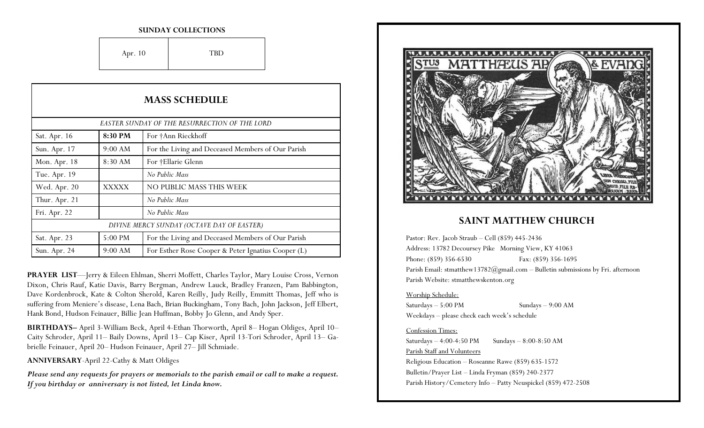#### **SUNDAY COLLECTIONS**

Apr. 10 TBD

| <b>MASS SCHEDULE</b> |              |                                                    |  |
|----------------------|--------------|----------------------------------------------------|--|
|                      |              | EASTER SUNDAY OF THE RESURRECTION OF THE LORD      |  |
| Sat. Apr. 16         | 8:30 PM      | For †Ann Rieckhoff                                 |  |
| Sun. Apr. 17         | 9:00 AM      | For the Living and Deceased Members of Our Parish  |  |
| Mon. Apr. 18         | 8:30 AM      | For †Ellarie Glenn                                 |  |
| Tue. Apr. 19         |              | No Public Mass                                     |  |
| Wed. Apr. 20         | <b>XXXXX</b> | NO PUBLIC MASS THIS WEEK                           |  |
| Thur. Apr. 21        |              | No Public Mass                                     |  |
| Fri. Apr. 22         |              | No Public Mass                                     |  |
|                      |              | DIVINE MERCY SUNDAY (OCTAVE DAY OF EASTER)         |  |
| Sat. Apr. 23         | 5:00 PM      | For the Living and Deceased Members of Our Parish  |  |
| Sun. Apr. 24         | 9:00 AM      | For Esther Rose Cooper & Peter Ignatius Cooper (L) |  |

**PRAYER LIST**—Jerry & Eileen Ehlman, Sherri Moffett, Charles Taylor, Mary Louise Cross, Vernon Dixon, Chris Rauf, Katie Davis, Barry Bergman, Andrew Lauck, Bradley Franzen, Pam Babbington, Dave Kordenbrock, Kate & Colton Sherold, Karen Reilly, Judy Reilly, Emmitt Thomas, Jeff who is suffering from Meniere's disease, Lena Bach, Brian Buckingham, Tony Bach, John Jackson, Jeff Elbert, Hank Bond, Hudson Feinauer, Billie Jean Huffman, Bobby Jo Glenn, and Andy Sper.

**BIRTHDAYS–** April 3-William Beck, April 4-Ethan Thorworth, April 8– Hogan Oldiges, April 10– Caity Schroder, April 11– Baily Downs, April 13– Cap Kiser, April 13-Tori Schroder, April 13– Gabrielle Feinauer, April 20– Hudson Feinauer, April 27– Jill Schmiade.

**ANNIVERSARY**-April 22-Cathy & Matt Oldiges

*Please send any requests for prayers or memorials to the parish email or call to make a request. If you birthday or anniversary is not listed, let Linda know.*



## **SAINT MATTHEW CHURCH**

Pastor: Rev. Jacob Straub – Cell (859) 445-2436 Address: 13782 Decoursey Pike Morning View, KY 41063 Phone: (859) 356-6530 Fax: (859) 356-1695 Parish Email: stmatthew13782@gmail.com – Bulletin submissions by Fri. afternoon Parish Website: stmatthewskenton.org

#### Worship Schedule:

Saturdays – 5:00 PM Sundays – 9:00 AM Weekdays – please check each week's schedule

#### Confession Times:

Saturdays  $-4:00-4:50 \text{ PM}$  Sundays  $-8:00-8:50 \text{ AM}$ Parish Staff and Volunteers Religious Education – Roseanne Rawe (859) 635-1572 Bulletin/Prayer List – Linda Fryman (859) 240-2377 Parish History/Cemetery Info – Patty Neuspickel (859) 472-2508